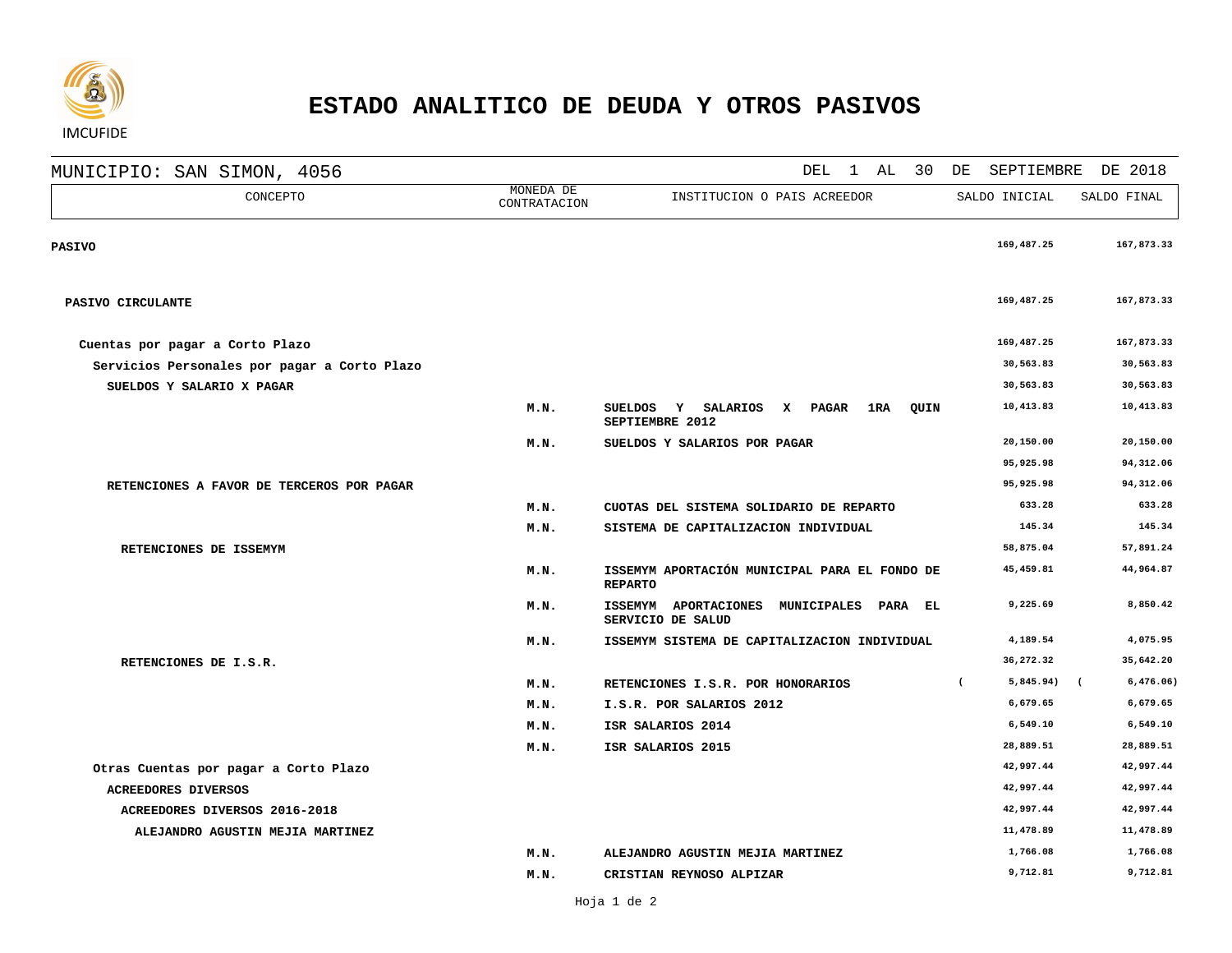

## **ESTADO ANALITICO DE DEUDA Y OTROS PASIVOS**

MUNICIPIO: SAN SIMON, 4056<br>
MONE DEL 1 AL 30 DE SEPTIEMBRE DE 2018

| CONCEPTO                                     | MOMEDA DE<br>CONTRATACION | INSTITUCION O PAIS ACREEDOR                                                       | SALDO INICIAL           | SALDO FINAL             |
|----------------------------------------------|---------------------------|-----------------------------------------------------------------------------------|-------------------------|-------------------------|
| <b>PASIVO</b>                                |                           |                                                                                   | 169,487.25              | 167,873.33              |
| PASIVO CIRCULANTE                            |                           |                                                                                   | 169,487.25              | 167,873.33              |
| Cuentas por pagar a Corto Plazo              |                           |                                                                                   | 169,487.25              | 167,873.33              |
| Servicios Personales por pagar a Corto Plazo |                           |                                                                                   | 30,563.83               | 30,563.83               |
| SUELDOS Y SALARIO X PAGAR                    |                           |                                                                                   | 30,563.83               | 30,563.83               |
|                                              | M.N.                      | Y SALARIOS<br>X PAGAR<br>1 RA<br>QUIN<br><b>SUELDOS</b><br>SEPTIEMBRE 2012        | 10,413.83               | 10,413.83               |
|                                              | M.N.                      | SUELDOS Y SALARIOS POR PAGAR                                                      | 20,150.00               | 20,150.00               |
|                                              |                           |                                                                                   | 95,925.98               | 94,312.06               |
| RETENCIONES A FAVOR DE TERCEROS POR PAGAR    |                           |                                                                                   | 95,925.98               | 94,312.06               |
|                                              | M.N.                      | CUOTAS DEL SISTEMA SOLIDARIO DE REPARTO                                           | 633.28                  | 633.28                  |
|                                              | M.N.                      | SISTEMA DE CAPITALIZACION INDIVIDUAL                                              | 145.34                  | 145.34                  |
| RETENCIONES DE ISSEMYM                       |                           |                                                                                   | 58,875.04               | 57,891.24               |
|                                              | M.N.                      | ISSEMYM APORTACIÓN MUNICIPAL PARA EL FONDO DE<br><b>REPARTO</b>                   | 45,459.81               | 44,964.87               |
|                                              | M.N.                      | <b>APORTACIONES</b><br><b>ISSEMYM</b><br>MUNICIPALES PARA EL<br>SERVICIO DE SALUD | 9,225.69                | 8,850.42                |
|                                              | M.N.                      | ISSEMYM SISTEMA DE CAPITALIZACION INDIVIDUAL                                      | 4,189.54                | 4,075.95                |
| RETENCIONES DE I.S.R.                        |                           |                                                                                   | 36,272.32               | 35,642.20               |
|                                              | M.N.                      | RETENCIONES I.S.R. POR HONORARIOS                                                 | 5,845.94)<br>$\epsilon$ | 6,476.06)<br>$\sqrt{2}$ |
|                                              | M.N.                      | I.S.R. POR SALARIOS 2012                                                          | 6,679.65                | 6,679.65                |
|                                              | M.N.                      | ISR SALARIOS 2014                                                                 | 6,549.10                | 6,549.10                |
|                                              | M.N.                      | ISR SALARIOS 2015                                                                 | 28,889.51               | 28,889.51               |
| Otras Cuentas por pagar a Corto Plazo        |                           |                                                                                   | 42,997.44               | 42,997.44               |
| <b>ACREEDORES DIVERSOS</b>                   |                           |                                                                                   | 42,997.44               | 42,997.44               |
| ACREEDORES DIVERSOS 2016-2018                |                           |                                                                                   | 42,997.44               | 42,997.44               |
| ALEJANDRO AGUSTIN MEJIA MARTINEZ             |                           |                                                                                   | 11,478.89               | 11,478.89               |
|                                              | M.N.                      | ALEJANDRO AGUSTIN MEJIA MARTINEZ                                                  | 1,766.08                | 1,766.08                |
|                                              | M.N.                      | CRISTIAN REYNOSO ALPIZAR                                                          | 9,712.81                | 9,712.81                |